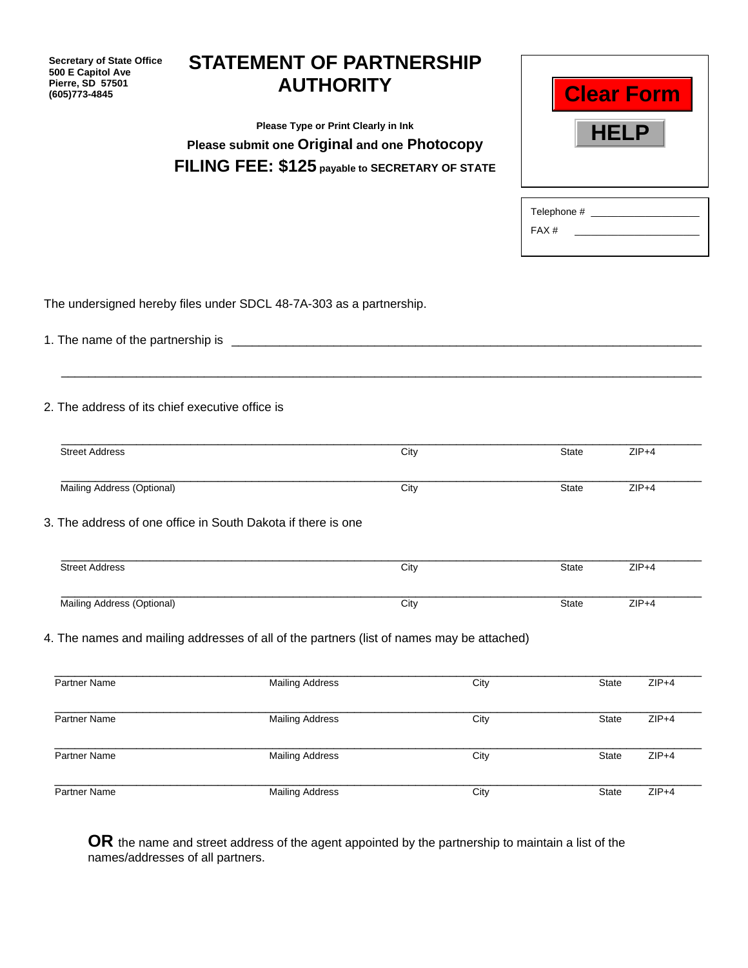| <b>Secretary of State Office</b><br>500 E Capitol Ave<br>Pierre, SD 57501<br>(605) 773-4845 | <b>STATEMENT OF PARTNERSHIP</b><br><b>AUTHORITY</b>                                       |              | <b>Clear Form</b>                         |
|---------------------------------------------------------------------------------------------|-------------------------------------------------------------------------------------------|--------------|-------------------------------------------|
|                                                                                             | Please Type or Print Clearly in Ink                                                       |              | HELP                                      |
|                                                                                             | Please submit one Original and one Photocopy                                              |              |                                           |
|                                                                                             | FILING FEE: \$125 payable to SECRETARY OF STATE                                           |              |                                           |
|                                                                                             |                                                                                           |              | Telephone # ______________________        |
|                                                                                             |                                                                                           | FAX#         | the company of the company of the company |
|                                                                                             |                                                                                           |              |                                           |
|                                                                                             | The undersigned hereby files under SDCL 48-7A-303 as a partnership.                       |              |                                           |
| 2. The address of its chief executive office is<br><b>Street Address</b>                    | City                                                                                      | State        | $ZIP+4$                                   |
| Mailing Address (Optional)                                                                  | City                                                                                      | State        | $ZIP+4$                                   |
|                                                                                             | 3. The address of one office in South Dakota if there is one                              |              |                                           |
| <b>Street Address</b>                                                                       | City                                                                                      | <b>State</b> | $ZIP+4$                                   |
| Mailing Address (Optional)                                                                  | City                                                                                      | State        | $ZIP+4$                                   |
|                                                                                             | 4. The names and mailing addresses of all of the partners (list of names may be attached) |              |                                           |
| Partner Name                                                                                | <b>Mailing Address</b><br>City                                                            |              | $ZIP+4$<br>State                          |
| Partner Name                                                                                | City<br><b>Mailing Address</b>                                                            |              | $ZIP+4$<br>State                          |
| Partner Name                                                                                | <b>Mailing Address</b><br>City                                                            |              | $ZIP+4$<br>State                          |
| Partner Name                                                                                | <b>Mailing Address</b><br>City                                                            |              | $ZIP+4$<br>State                          |

**OR** the name and street address of the agent appointed by the partnership to maintain a list of the names/addresses of all partners.